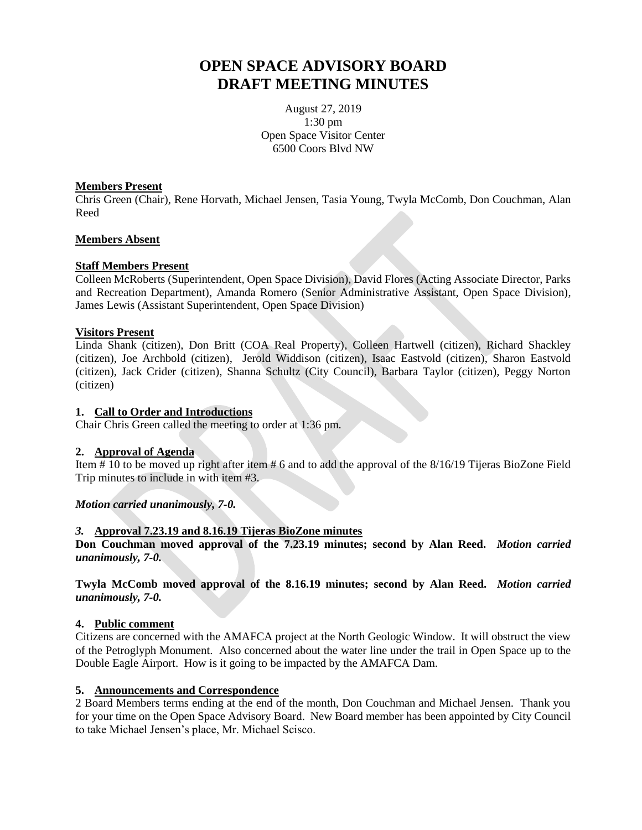# **OPEN SPACE ADVISORY BOARD DRAFT MEETING MINUTES**

August 27, 2019 1:30 pm Open Space Visitor Center 6500 Coors Blvd NW

## **Members Present**

Chris Green (Chair), Rene Horvath, Michael Jensen, Tasia Young, Twyla McComb, Don Couchman, Alan Reed

## **Members Absent**

## **Staff Members Present**

Colleen McRoberts (Superintendent, Open Space Division), David Flores (Acting Associate Director, Parks and Recreation Department), Amanda Romero (Senior Administrative Assistant, Open Space Division), James Lewis (Assistant Superintendent, Open Space Division)

## **Visitors Present**

Linda Shank (citizen), Don Britt (COA Real Property), Colleen Hartwell (citizen), Richard Shackley (citizen), Joe Archbold (citizen), Jerold Widdison (citizen), Isaac Eastvold (citizen), Sharon Eastvold (citizen), Jack Crider (citizen), Shanna Schultz (City Council), Barbara Taylor (citizen), Peggy Norton (citizen)

## **1. Call to Order and Introductions**

Chair Chris Green called the meeting to order at 1:36 pm.

## **2. Approval of Agenda**

Item # 10 to be moved up right after item # 6 and to add the approval of the 8/16/19 Tijeras BioZone Field Trip minutes to include in with item #3.

## *Motion carried unanimously, 7-0.*

## *3.* **Approval 7.23.19 and 8.16.19 Tijeras BioZone minutes**

**Don Couchman moved approval of the 7.23.19 minutes; second by Alan Reed.** *Motion carried unanimously, 7-0.*

**Twyla McComb moved approval of the 8.16.19 minutes; second by Alan Reed.** *Motion carried unanimously, 7-0.*

#### **4. Public comment**

Citizens are concerned with the AMAFCA project at the North Geologic Window. It will obstruct the view of the Petroglyph Monument. Also concerned about the water line under the trail in Open Space up to the Double Eagle Airport. How is it going to be impacted by the AMAFCA Dam.

#### **5. Announcements and Correspondence**

2 Board Members terms ending at the end of the month, Don Couchman and Michael Jensen. Thank you for your time on the Open Space Advisory Board. New Board member has been appointed by City Council to take Michael Jensen's place, Mr. Michael Scisco.